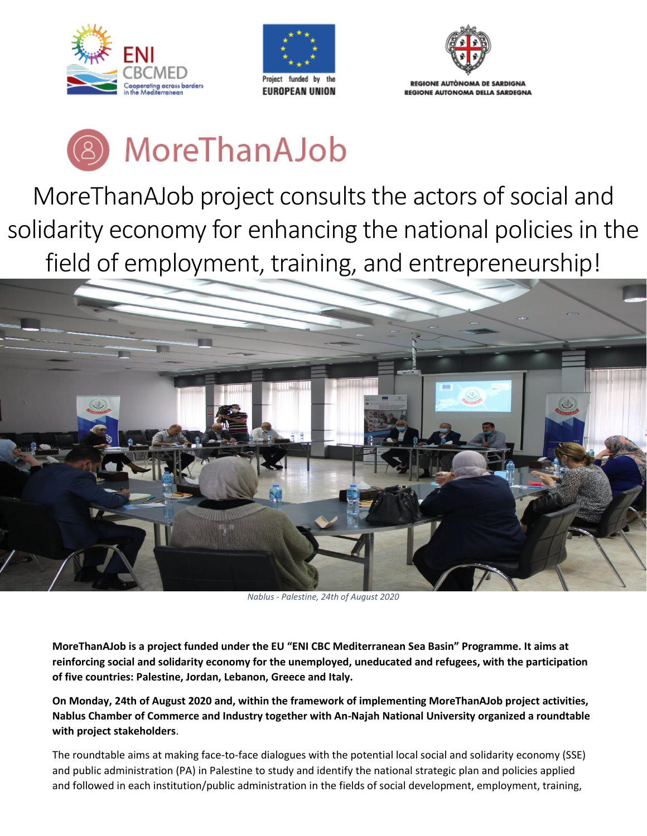





## MoreThanAJob

MoreThanAJob project consults the actors of social and solidarity economy for enhancing the national policies in the field of employment, training, and entrepreneurship!



*Nablus - Palestine, 24th of August 2020*

**MoreThanAJob is a project funded under the EU "ENI CBC Mediterranean Sea Basin" Programme. It aims at reinforcing social and solidarity economy for the unemployed, uneducated and refugees, with the participation of five countries: Palestine, Jordan, Lebanon, Greece and Italy.**

**On Monday, 24th of August 2020 and, within the framework of implementing MoreThanAJob project activities, Nablus Chamber of Commerce and Industry together with An-Najah National University organized a roundtable with project stakeholders**.

The roundtable aims at making face-to-face dialogues with the potential local social and solidarity economy (SSE) and public administration (PA) in Palestine to study and identify the national strategic plan and policies applied and followed in each institution/public administration in the fields of social development, employment, training,